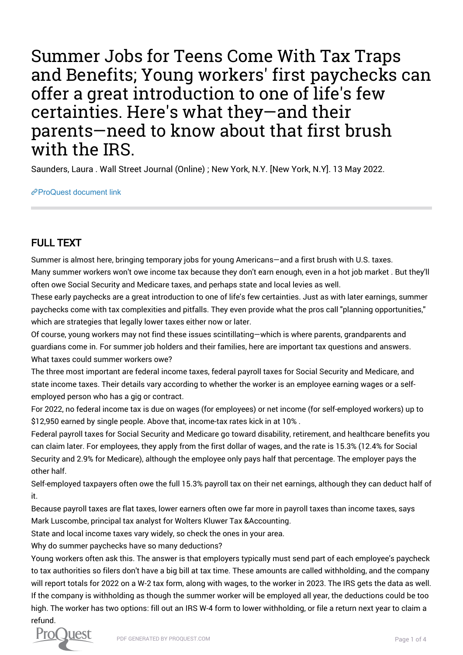Summer Jobs for Teens Come With Tax Traps and Benefits; Young workers' first paychecks can offer a great introduction to one of life's few certainties. Here's what they—and their parents—need to know about that first brush with the IRS.

Saunders, Laura . Wall Street Journal (Online) ; New York, N.Y. [New York, N.Y]. 13 May 2022.

[ProQuest document link](https://www.proquest.com/newspapers/summer-jobs-teens-come-with-tax-traps-benefits/docview/2663359364/se-2?accountid=44910)

## FULL TEXT

Summer is almost here, bringing temporary jobs for young Americans—and a first brush with U.S. taxes. Many summer workers won't owe income tax because they don't earn enough, even in a hot job market . But they'll often owe Social Security and Medicare taxes, and perhaps state and local levies as well.

These early paychecks are a great introduction to one of life's few certainties. Just as with later earnings, summer paychecks come with tax complexities and pitfalls. They even provide what the pros call "planning opportunities," which are strategies that legally lower taxes either now or later.

Of course, young workers may not find these issues scintillating—which is where parents, grandparents and guardians come in. For summer job holders and their families, here are important tax questions and answers. What taxes could summer workers owe?

The three most important are federal income taxes, federal payroll taxes for Social Security and Medicare, and state income taxes. Their details vary according to whether the worker is an employee earning wages or a selfemployed person who has a gig or contract.

For 2022, no federal income tax is due on wages (for employees) or net income (for self-employed workers) up to \$12,950 earned by single people. Above that, income-tax rates kick in at 10% .

Federal payroll taxes for Social Security and Medicare go toward disability, retirement, and healthcare benefits you can claim later. For employees, they apply from the first dollar of wages, and the rate is 15.3% (12.4% for Social Security and 2.9% for Medicare), although the employee only pays half that percentage. The employer pays the other half.

Self-employed taxpayers often owe the full 15.3% payroll tax on their net earnings, although they can deduct half of it.

Because payroll taxes are flat taxes, lower earners often owe far more in payroll taxes than income taxes, says Mark Luscombe, principal tax analyst for Wolters Kluwer Tax &Accounting.

State and local income taxes vary widely, so check the ones in your area.

Why do summer paychecks have so many deductions?

Young workers often ask this. The answer is that employers typically must send part of each employee's paycheck to tax authorities so filers don't have a big bill at tax time. These amounts are called withholding, and the company will report totals for 2022 on a W-2 tax form, along with wages, to the worker in 2023. The IRS gets the data as well. If the company is withholding as though the summer worker will be employed all year, the deductions could be too high. The worker has two options: fill out an IRS W-4 form to lower withholding, or file a return next year to claim a refund.

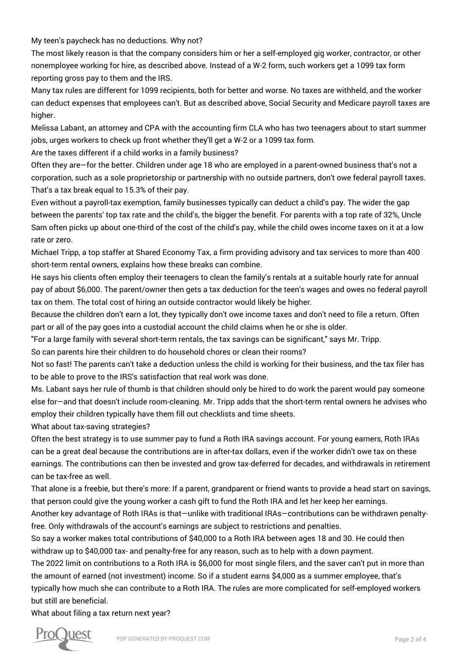My teen's paycheck has no deductions. Why not?

The most likely reason is that the company considers him or her a self-employed gig worker, contractor, or other nonemployee working for hire, as described above. Instead of a W-2 form, such workers get a 1099 tax form reporting gross pay to them and the IRS.

Many tax rules are different for 1099 recipients, both for better and worse. No taxes are withheld, and the worker can deduct expenses that employees can't. But as described above, Social Security and Medicare payroll taxes are higher.

Melissa Labant, an attorney and CPA with the accounting firm CLA who has two teenagers about to start summer jobs, urges workers to check up front whether they'll get a W-2 or a 1099 tax form.

Are the taxes different if a child works in a family business?

Often they are—for the better. Children under age 18 who are employed in a parent-owned business that's not a corporation, such as a sole proprietorship or partnership with no outside partners, don't owe federal payroll taxes. That's a tax break equal to 15.3% of their pay.

Even without a payroll-tax exemption, family businesses typically can deduct a child's pay. The wider the gap between the parents' top tax rate and the child's, the bigger the benefit. For parents with a top rate of 32%, Uncle Sam often picks up about one-third of the cost of the child's pay, while the child owes income taxes on it at a low rate or zero.

Michael Tripp, a top staffer at Shared Economy Tax, a firm providing advisory and tax services to more than 400 short-term rental owners, explains how these breaks can combine.

He says his clients often employ their teenagers to clean the family's rentals at a suitable hourly rate for annual pay of about \$6,000. The parent/owner then gets a tax deduction for the teen's wages and owes no federal payroll tax on them. The total cost of hiring an outside contractor would likely be higher.

Because the children don't earn a lot, they typically don't owe income taxes and don't need to file a return. Often part or all of the pay goes into a custodial account the child claims when he or she is older.

"For a large family with several short-term rentals, the tax savings can be significant," says Mr. Tripp.

So can parents hire their children to do household chores or clean their rooms?

Not so fast! The parents can't take a deduction unless the child is working for their business, and the tax filer has to be able to prove to the IRS's satisfaction that real work was done.

Ms. Labant says her rule of thumb is that children should only be hired to do work the parent would pay someone else for—and that doesn't include room-cleaning. Mr. Tripp adds that the short-term rental owners he advises who employ their children typically have them fill out checklists and time sheets.

What about tax-saving strategies?

Often the best strategy is to use summer pay to fund a Roth IRA savings account. For young earners, Roth IRAs can be a great deal because the contributions are in after-tax dollars, even if the worker didn't owe tax on these earnings. The contributions can then be invested and grow tax-deferred for decades, and withdrawals in retirement can be tax-free as well.

That alone is a freebie, but there's more: If a parent, grandparent or friend wants to provide a head start on savings, that person could give the young worker a cash gift to fund the Roth IRA and let her keep her earnings.

Another key advantage of Roth IRAs is that—unlike with traditional IRAs—contributions can be withdrawn penaltyfree. Only withdrawals of the account's earnings are subject to restrictions and penalties.

So say a worker makes total contributions of \$40,000 to a Roth IRA between ages 18 and 30. He could then withdraw up to \$40,000 tax- and penalty-free for any reason, such as to help with a down payment.

The 2022 limit on contributions to a Roth IRA is \$6,000 for most single filers, and the saver can't put in more than the amount of earned (not investment) income. So if a student earns \$4,000 as a summer employee, that's typically how much she can contribute to a Roth IRA. The rules are more complicated for self-employed workers but still are beneficial.

What about filing a tax return next year?

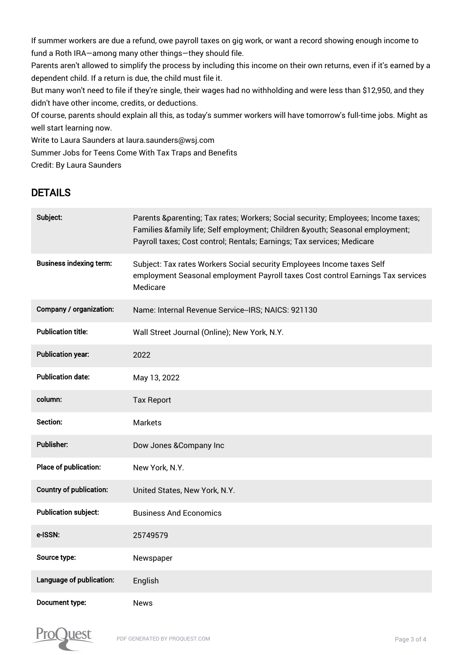If summer workers are due a refund, owe payroll taxes on gig work, or want a record showing enough income to fund a Roth IRA—among many other things—they should file.

Parents aren't allowed to simplify the process by including this income on their own returns, even if it's earned by a dependent child. If a return is due, the child must file it.

But many won't need to file if they're single, their wages had no withholding and were less than \$12,950, and they didn't have other income, credits, or deductions.

Of course, parents should explain all this, as today's summer workers will have tomorrow's full-time jobs. Might as well start learning now.

Write to Laura Saunders at laura.saunders@wsj.com

Summer Jobs for Teens Come With Tax Traps and Benefits

Credit: By Laura Saunders

## DETAILS

| Subject:                       | Parents &parenting Tax rates; Workers; Social security; Employees; Income taxes;<br>Families &family life; Self employment; Children &youth Seasonal employment;<br>Payroll taxes; Cost control; Rentals; Earnings; Tax services; Medicare |
|--------------------------------|--------------------------------------------------------------------------------------------------------------------------------------------------------------------------------------------------------------------------------------------|
| <b>Business indexing term:</b> | Subject: Tax rates Workers Social security Employees Income taxes Self<br>employment Seasonal employment Payroll taxes Cost control Earnings Tax services<br>Medicare                                                                      |
| Company / organization:        | Name: Internal Revenue Service--IRS; NAICS: 921130                                                                                                                                                                                         |
| <b>Publication title:</b>      | Wall Street Journal (Online); New York, N.Y.                                                                                                                                                                                               |
| <b>Publication year:</b>       | 2022                                                                                                                                                                                                                                       |
| <b>Publication date:</b>       | May 13, 2022                                                                                                                                                                                                                               |
| column:                        | <b>Tax Report</b>                                                                                                                                                                                                                          |
| Section:                       | <b>Markets</b>                                                                                                                                                                                                                             |
| <b>Publisher:</b>              | Dow Jones & Company Inc                                                                                                                                                                                                                    |
| Place of publication:          | New York, N.Y.                                                                                                                                                                                                                             |
| <b>Country of publication:</b> | United States, New York, N.Y.                                                                                                                                                                                                              |
| <b>Publication subject:</b>    | <b>Business And Economics</b>                                                                                                                                                                                                              |
| e-ISSN:                        | 25749579                                                                                                                                                                                                                                   |
| Source type:                   | Newspaper                                                                                                                                                                                                                                  |
| Language of publication:       | English                                                                                                                                                                                                                                    |
| Document type:                 | <b>News</b>                                                                                                                                                                                                                                |